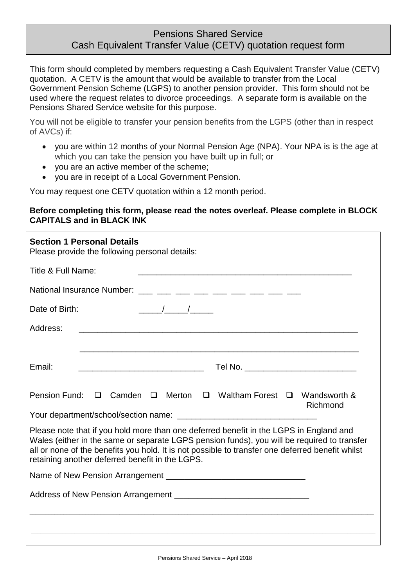# Pensions Shared Service Cash Equivalent Transfer Value (CETV) quotation request form

This form should completed by members requesting a Cash Equivalent Transfer Value (CETV) quotation. A CETV is the amount that would be available to transfer from the Local Government Pension Scheme (LGPS) to another pension provider. This form should not be used where the request relates to divorce proceedings. A separate form is available on the Pensions Shared Service website for this purpose.

You will not be eligible to transfer your pension benefits from the LGPS (other than in respect of AVCs) if:

- you are within 12 months of your Normal Pension Age (NPA). Your NPA is is the age at which you can take the pension you have built up in full; or
- vou are an active member of the scheme:
- you are in receipt of a Local Government Pension.

You may request one CETV quotation within a 12 month period.

## **Before completing this form, please read the notes overleaf. Please complete in BLOCK CAPITALS and in BLACK INK**

| <b>Section 1 Personal Details</b><br>Please provide the following personal details:                                                                                                                                                                                                                                                                                                                                                               |
|---------------------------------------------------------------------------------------------------------------------------------------------------------------------------------------------------------------------------------------------------------------------------------------------------------------------------------------------------------------------------------------------------------------------------------------------------|
| Title & Full Name:                                                                                                                                                                                                                                                                                                                                                                                                                                |
| National Insurance Number: ___ __ __ __ __ __ __ __ __ __ __ __                                                                                                                                                                                                                                                                                                                                                                                   |
| $\frac{1}{\sqrt{1-\frac{1}{2}}}\frac{1}{\sqrt{1-\frac{1}{2}}}\frac{1}{\sqrt{1-\frac{1}{2}}}\frac{1}{\sqrt{1-\frac{1}{2}}}\frac{1}{\sqrt{1-\frac{1}{2}}}\frac{1}{\sqrt{1-\frac{1}{2}}}\frac{1}{\sqrt{1-\frac{1}{2}}}\frac{1}{\sqrt{1-\frac{1}{2}}}\frac{1}{\sqrt{1-\frac{1}{2}}}\frac{1}{\sqrt{1-\frac{1}{2}}}\frac{1}{\sqrt{1-\frac{1}{2}}}\frac{1}{\sqrt{1-\frac{1}{2}}}\frac{1}{\sqrt{1-\frac{1}{2}}}\frac{1}{\sqrt{1-\frac{$<br>Date of Birth: |
| Address:<br><u> 1980 - Jan Sterling, mars and de la provincia de la provincia de la provincia de la provincia de la provincia</u>                                                                                                                                                                                                                                                                                                                 |
|                                                                                                                                                                                                                                                                                                                                                                                                                                                   |
| Email:                                                                                                                                                                                                                                                                                                                                                                                                                                            |
| Pension Fund: $\Box$ Camden $\Box$ Merton $\Box$ Waltham Forest $\Box$ Wandsworth &<br>Richmond                                                                                                                                                                                                                                                                                                                                                   |
| Please note that if you hold more than one deferred benefit in the LGPS in England and<br>Wales (either in the same or separate LGPS pension funds), you will be required to transfer<br>all or none of the benefits you hold. It is not possible to transfer one deferred benefit whilst<br>retaining another deferred benefit in the LGPS.                                                                                                      |
|                                                                                                                                                                                                                                                                                                                                                                                                                                                   |
|                                                                                                                                                                                                                                                                                                                                                                                                                                                   |
|                                                                                                                                                                                                                                                                                                                                                                                                                                                   |
|                                                                                                                                                                                                                                                                                                                                                                                                                                                   |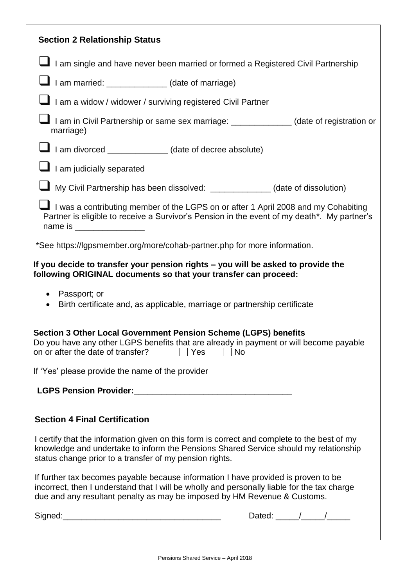| <b>Section 2 Relationship Status</b>                                                                                                                                                                                                                          |
|---------------------------------------------------------------------------------------------------------------------------------------------------------------------------------------------------------------------------------------------------------------|
| I am single and have never been married or formed a Registered Civil Partnership                                                                                                                                                                              |
| $\blacksquare$ I am married: $\blacksquare$ (date of marriage)                                                                                                                                                                                                |
| I am a widow / widower / surviving registered Civil Partner                                                                                                                                                                                                   |
| I am in Civil Partnership or same sex marriage: ____________(date of registration or<br>marriage)                                                                                                                                                             |
| $\blacksquare$ I am divorced _____________(date of decree absolute)                                                                                                                                                                                           |
| I am judicially separated                                                                                                                                                                                                                                     |
| $\blacksquare$ My Civil Partnership has been dissolved: ______________(date of dissolution)                                                                                                                                                                   |
| $\blacksquare$ I was a contributing member of the LGPS on or after 1 April 2008 and my Cohabiting<br>Partner is eligible to receive a Survivor's Pension in the event of my death*. My partner's                                                              |
| *See https://lgpsmember.org/more/cohab-partner.php for more information.                                                                                                                                                                                      |
| If you decide to transfer your pension rights - you will be asked to provide the<br>following ORIGINAL documents so that your transfer can proceed:                                                                                                           |
| • Passport; or<br>Birth certificate and, as applicable, marriage or partnership certificate<br>$\bullet$                                                                                                                                                      |
| <b>Section 3 Other Local Government Pension Scheme (LGPS) benefits</b><br>Do you have any other LGPS benefits that are already in payment or will become payable<br>on or after the date of transfer?<br>  Yes<br>No                                          |
| If 'Yes' please provide the name of the provider                                                                                                                                                                                                              |
|                                                                                                                                                                                                                                                               |
| <b>Section 4 Final Certification</b>                                                                                                                                                                                                                          |
| I certify that the information given on this form is correct and complete to the best of my<br>knowledge and undertake to inform the Pensions Shared Service should my relationship<br>status change prior to a transfer of my pension rights.                |
| If further tax becomes payable because information I have provided is proven to be<br>incorrect, then I understand that I will be wholly and personally liable for the tax charge<br>due and any resultant penalty as may be imposed by HM Revenue & Customs. |
| Dated: $\frac{1}{\sqrt{1-\frac{1}{2}}}\frac{1}{\sqrt{1-\frac{1}{2}}}}$                                                                                                                                                                                        |
|                                                                                                                                                                                                                                                               |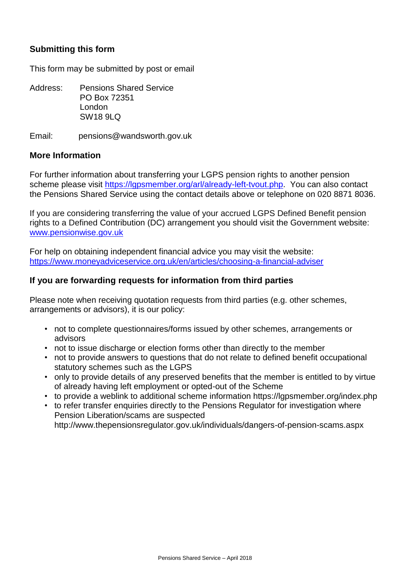# **Submitting this form**

This form may be submitted by post or email

Address: Pensions Shared Service PO Box 72351 London SW18 9LQ

Email: pensions@wandsworth.gov.uk

#### **More Information**

For further information about transferring your LGPS pension rights to another pension scheme please visit [https://lgpsmember.org/arl/already-left-tvout.php.](https://lgpsmember.org/arl/already-left-tvout.php) You can also contact the Pensions Shared Service using the contact details above or telephone on 020 8871 8036.

If you are considering transferring the value of your accrued LGPS Defined Benefit pension rights to a Defined Contribution (DC) arrangement you should visit the Government website: [www.pensionwise.gov.uk](http://www.pensionwise.gov.uk/) 

For help on obtaining independent financial advice you may visit the website: <https://www.moneyadviceservice.org.uk/en/articles/choosing-a-financial-adviser>

### **If you are forwarding requests for information from third parties**

Please note when receiving quotation requests from third parties (e.g. other schemes, arrangements or advisors), it is our policy:

- not to complete questionnaires/forms issued by other schemes, arrangements or advisors
- not to issue discharge or election forms other than directly to the member
- not to provide answers to questions that do not relate to defined benefit occupational statutory schemes such as the LGPS
- only to provide details of any preserved benefits that the member is entitled to by virtue of already having left employment or opted-out of the Scheme
- to provide a weblink to additional scheme information https://lgpsmember.org/index.php
- to refer transfer enquiries directly to the Pensions Regulator for investigation where Pension Liberation/scams are suspected http://www.thepensionsregulator.gov.uk/individuals/dangers-of-pension-scams.aspx